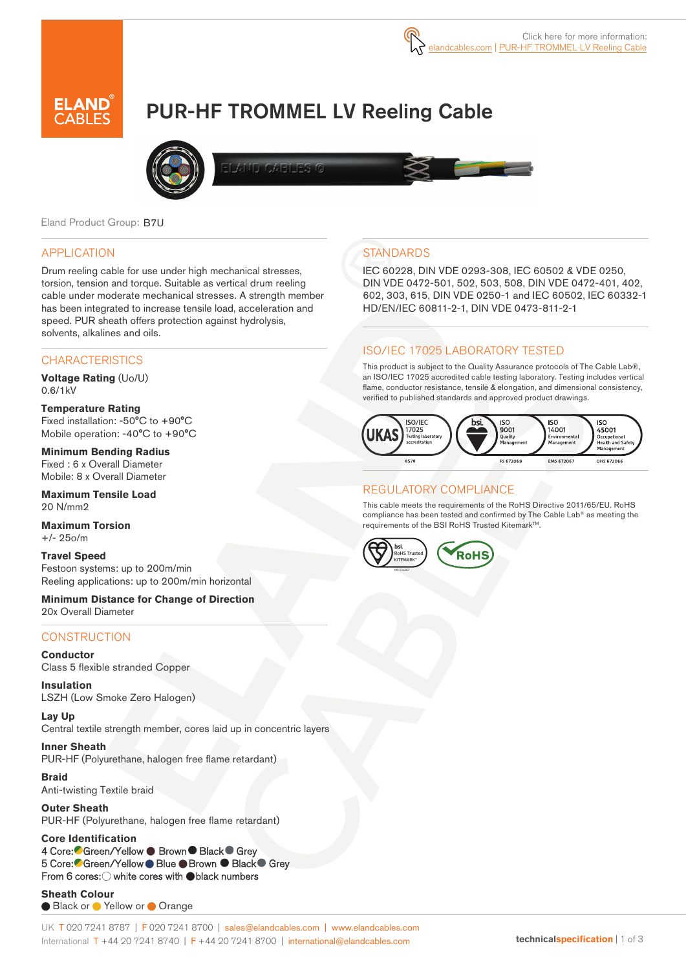

# PUR-HF TROMMEL LV Reeling Cable



Eland Product Group: B7U

#### APPLICATION

Drum reeling cable for use under high mechanical stresses, torsion, tension and torque. Suitable as vertical drum reeling cable under moderate mechanical stresses. A strength member has been integrated to increase tensile load, acceleration and speed. PUR sheath offers protection against hydrolysis, solvents, alkalines and oils.

#### **CHARACTERISTICS**

**Voltage Rating** (Uo/U) 0.6/1kV

**Temperature Rating**  Fixed installation: -50°C to +90°C Mobile operation: -40°C to +90°C

**Minimum Bending Radius**  Fixed : 6 x Overall Diameter Mobile: 8 x Overall Diameter

**Maximum Tensile Load** 20 N/mm2

**Maximum Torsion** +/- 25o/m

**Travel Speed** Festoon systems: up to 200m/min Reeling applications: up to 200m/min horizontal

**Minimum Distance for Change of Direction** 20x Overall Diameter

#### **CONSTRUCTION**

**Conductor** Class 5 flexible stranded Copper

**Insulation** LSZH (Low Smoke Zero Halogen)

**Lay Up** Central textile strength member, cores laid up in concentric layers

**Inner Sheath** PUR-HF (Polyurethane, halogen free flame retardant)

**Braid** Anti-twisting Textile braid

**Outer Sheath** PUR-HF (Polyurethane, halogen free flame retardant)

**Core Identification**  4 Core: Green/Yellow ● Brown ● Black ● Grey 5 Core: Green/Yellow Blue ● Brown ● Black ● Grey From 6 cores:  $\bigcirc$  white cores with  $\bigcirc$  black numbers

**Sheath Colour**  ● Black or ● Yellow or ● Orange

#### UK T 020 7241 8787 | F 020 7241 8700 | sales@elandcables.com | www.elandcables.com International T +44 20 7241 8740 | F +44 20 7241 8700 | international@elandcables.com

### **STANDARDS**

IEC 60228, DIN VDE 0293-308, IEC 60502 & VDE 0250, DIN VDE 0472-501, 502, 503, 508, DIN VDE 0472-401, 402, 602, 303, 615, DIN VDE 0250-1 and IEC 60502, IEC 60332-1 HD/EN/IEC 60811-2-1, DIN VDE 0473-811-2-1

#### ISO/IEC 17025 LABORATORY TESTED

This product is subject to the Quality Assurance protocols of The Cable Lab®, an ISO/IEC 17025 accredited cable testing laboratory. Testing includes vertical flame, conductor resistance, tensile & elongation, and dimensional consistency, verified to published standards and approved product drawings.



#### REGULATORY COMPLIANCE

This cable meets the requirements of the RoHS Directive 2011/65/EU. RoHS compliance has been tested and confirmed by The Cable Lab® as meeting the requirements of the BSI RoHS Trusted KitemarkTM.

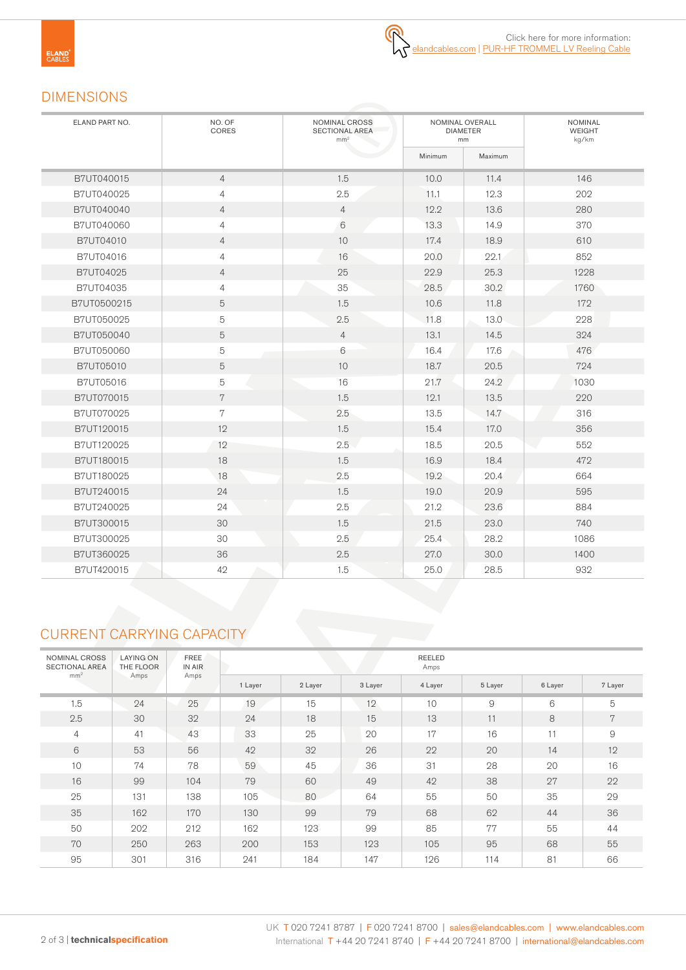## DIMENSIONS

| ELAND PART NO. | NO. OF<br>CORES | NOMINAL CROSS<br><b>SECTIONAL AREA</b><br>mm <sup>2</sup> |         | NOMINAL OVERALL<br><b>DIAMETER</b><br>mm | <b>NOMINAL</b><br>WEIGHT<br>kg/km |  |  |
|----------------|-----------------|-----------------------------------------------------------|---------|------------------------------------------|-----------------------------------|--|--|
|                |                 |                                                           | Minimum | Maximum                                  |                                   |  |  |
| B7UT040015     | $\overline{4}$  | 1.5                                                       | 10.0    | 11.4                                     | 146                               |  |  |
| B7UT040025     | $\overline{4}$  | 2.5                                                       | 11.1    | 12.3                                     | 202                               |  |  |
| B7UT040040     | $\overline{4}$  | $\overline{4}$                                            | 12.2    | 13.6                                     | 280                               |  |  |
| B7UT040060     | $\overline{4}$  | 6                                                         | 13.3    | 14.9                                     | 370                               |  |  |
| B7UT04010      | $\overline{4}$  | $10$                                                      | 17.4    | 18.9                                     | 610                               |  |  |
| B7UT04016      | 4               | 16                                                        | 20.0    | 22.1                                     | 852                               |  |  |
| B7UT04025      | $\overline{4}$  | 25                                                        | 22.9    | 25.3                                     | 1228                              |  |  |
| B7UT04035      | $\overline{4}$  | 35                                                        | 28.5    | 30.2                                     | 1760                              |  |  |
| B7UT0500215    | 5               | 1.5                                                       | 10.6    | 11.8                                     | 172                               |  |  |
| B7UT050025     | 5               | 2.5                                                       | 11.8    | 13.0                                     | 228                               |  |  |
| B7UT050040     | 5               | $\overline{4}$                                            | 13.1    | 14.5                                     | 324                               |  |  |
| B7UT050060     | 5               | 6                                                         | 16.4    | 17.6                                     | 476                               |  |  |
| B7UT05010      | 5               | 10                                                        | 18.7    | 20.5                                     | 724                               |  |  |
| B7UT05016      | 5               | 16                                                        | 21.7    | 24.2                                     | 1030                              |  |  |
| B7UT070015     | $\,7$           | 1.5                                                       | 12.1    | 13.5                                     | 220                               |  |  |
| B7UT070025     | 7               | 2.5                                                       | 13.5    | 14.7                                     | 316                               |  |  |
| B7UT120015     | 12              | 1.5                                                       | 15.4    | 17.0                                     | 356                               |  |  |
| B7UT120025     | 12              | 2.5                                                       | 18.5    | 20.5                                     | 552                               |  |  |
| B7UT180015     | 18              | 1.5                                                       | 16.9    | 18.4                                     | 472                               |  |  |
| B7UT180025     | 18              | 2.5                                                       | 19.2    | 20.4                                     | 664                               |  |  |
| B7UT240015     | 24              | 1.5                                                       | 19.0    | 20.9                                     | 595                               |  |  |
| B7UT240025     | 24              | 2.5                                                       | 21.2    | 23.6                                     | 884                               |  |  |
| B7UT300015     | 30              | 1.5                                                       | 21.5    | 23.0                                     | 740                               |  |  |
| B7UT300025     | 30              | 2.5                                                       | 25.4    | 28.2                                     | 1086                              |  |  |
| B7UT360025     | 36              | 2.5                                                       | 27.0    | 30.0                                     | 1400                              |  |  |
| B7UT420015     | 42              | 1.5                                                       | 25.0    | 28.5                                     | 932                               |  |  |

## CURRENT CARRYING CAPACITY

| NOMINAL CROSS<br><b>SECTIONAL AREA</b><br>mm <sup>2</sup> | <b>LAYING ON</b><br>THE FLOOR | FREE<br>IN AIR | REELED<br>Amps |         |         |                 |         |         |         |  |  |  |  |  |
|-----------------------------------------------------------|-------------------------------|----------------|----------------|---------|---------|-----------------|---------|---------|---------|--|--|--|--|--|
|                                                           | Amps                          | Amps           | 1 Layer        | 2 Layer | 3 Layer | 4 Layer         | 5 Layer | 6 Layer | 7 Layer |  |  |  |  |  |
| 1.5                                                       | 24                            | 25             | 19             | 15      | 12      | 10 <sup>1</sup> | 9       | 6       | 5       |  |  |  |  |  |
| 2.5                                                       | 30                            | 32             | 24             | 18      | 15      | 13              | 11      | 8       | 7       |  |  |  |  |  |
| $\overline{4}$                                            | 41                            | 43             | 33             | 25      | 20      | 17              | 16      | 11      | 9       |  |  |  |  |  |
| 6                                                         | 53                            | 56             | 42             | 32      | 26      | 22              | 20      | 14      | 12      |  |  |  |  |  |
| 10                                                        | 74                            | 78             | 59             | 45      | 36      | 31              | 28      | 20      | 16      |  |  |  |  |  |
| 16                                                        | 99                            | 104            | 79             | 60      | 49      | 42              | 38      | 27      | 22      |  |  |  |  |  |
| 25                                                        | 131                           | 138            | 105            | 80      | 64      | 55              | 50      | 35      | 29      |  |  |  |  |  |
| 35                                                        | 162                           | 170            | 130            | 99      | 79      | 68              | 62      | 44      | 36      |  |  |  |  |  |
| 50                                                        | 202                           | 212            | 162            | 123     | 99      | 85              | 77      | 55      | 44      |  |  |  |  |  |
| 70                                                        | 250                           | 263            | 200            | 153     | 123     | 105             | 95      | 68      | 55      |  |  |  |  |  |
| 95                                                        | 301                           | 316            | 241            | 184     | 147     | 126             | 114     | 81      | 66      |  |  |  |  |  |